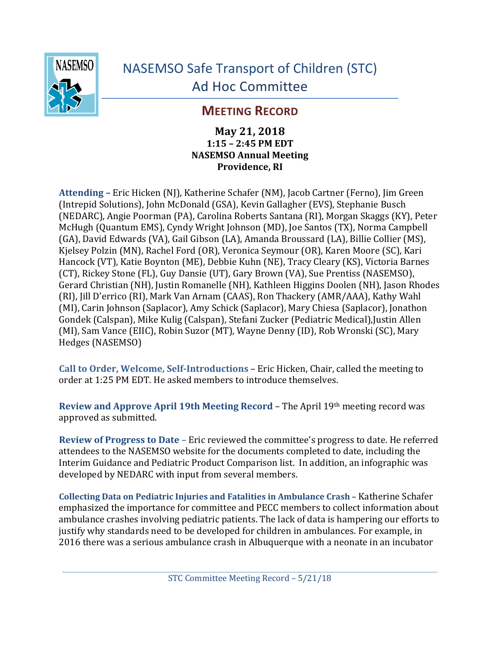

## **MEETING RECORD**

**May 21, 2018 1:15 – 2:45 PM EDT NASEMSO Annual Meeting Providence, RI** 

Attending – Eric Hicken (NJ), Katherine Schafer (NM), Jacob Cartner (Ferno), Jim Green (Intrepid Solutions), John McDonald (GSA), Kevin Gallagher (EVS), Stephanie Busch (NEDARC), Angie Poorman (PA), Carolina Roberts Santana (RI), Morgan Skaggs (KY), Peter McHugh (Quantum EMS), Cyndy Wright Johnson (MD), Joe Santos (TX), Norma Campbell (GA), David Edwards (VA), Gail Gibson (LA), Amanda Broussard (LA), Billie Collier (MS), Kjelsey Polzin (MN), Rachel Ford (OR), Veronica Seymour (OR), Karen Moore (SC), Kari Hancock (VT), Katie Boynton (ME), Debbie Kuhn (NE), Tracy Cleary (KS), Victoria Barnes (CT), Rickey Stone (FL), Guy Dansie (UT), Gary Brown (VA), Sue Prentiss (NASEMSO), Gerard Christian (NH), Justin Romanelle (NH), Kathleen Higgins Doolen (NH), Jason Rhodes (RI), Jill D'errico (RI), Mark Van Arnam (CAAS), Ron Thackery (AMR/AAA), Kathy Wahl (MI), Carin Johnson (Saplacor), Amy Schick (Saplacor), Mary Chiesa (Saplacor), Jonathon Gondek (Calspan), Mike Kulig (Calspan), Stefani Zucker (Pediatric Medical),Justin Allen (MI), Sam Vance (EIIC), Robin Suzor (MT), Wayne Denny (ID), Rob Wronski (SC), Mary Hedges (NASEMSO)

**Call to Order, Welcome, Self-Introductions** – Eric Hicken, Chair, called the meeting to order at 1:25 PM EDT. He asked members to introduce themselves.

**Review and Approve April 19th Meeting Record – The April 19th meeting record was** approved as submitted.

**Review of Progress to Date** – Eric reviewed the committee's progress to date. He referred attendees to the NASEMSO website for the documents completed to date, including the Interim Guidance and Pediatric Product Comparison list. In addition, an infographic was developed by NEDARC with input from several members.

**Collecting Data on Pediatric Injuries and Fatalities in Ambulance Crash - Katherine Schafer** emphasized the importance for committee and PECC members to collect information about ambulance crashes involving pediatric patients. The lack of data is hampering our efforts to justify why standards need to be developed for children in ambulances. For example, in 2016 there was a serious ambulance crash in Albuquerque with a neonate in an incubator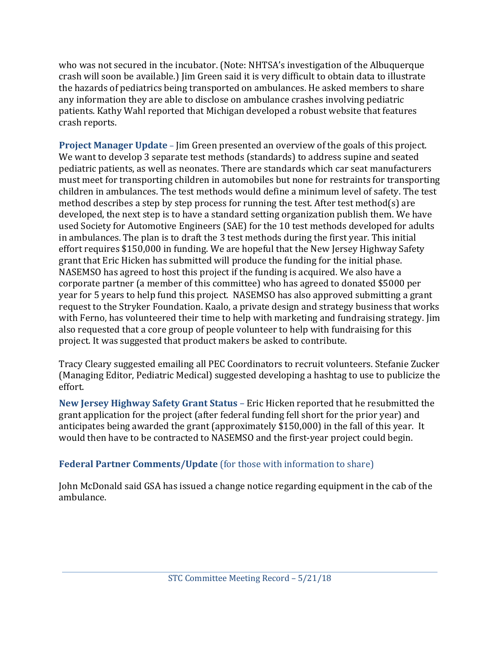who was not secured in the incubator. (Note: NHTSA's investigation of the Albuquerque crash will soon be available.) Jim Green said it is very difficult to obtain data to illustrate the hazards of pediatrics being transported on ambulances. He asked members to share any information they are able to disclose on ambulance crashes involving pediatric patients. Kathy Wahl reported that Michigan developed a robust website that features crash reports. 

**Project Manager Update** – Jim Green presented an overview of the goals of this project. We want to develop 3 separate test methods (standards) to address supine and seated pediatric patients, as well as neonates. There are standards which car seat manufacturers must meet for transporting children in automobiles but none for restraints for transporting children in ambulances. The test methods would define a minimum level of safety. The test method describes a step by step process for running the test. After test method(s) are developed, the next step is to have a standard setting organization publish them. We have used Society for Automotive Engineers (SAE) for the 10 test methods developed for adults in ambulances. The plan is to draft the 3 test methods during the first year. This initial effort requires \$150,000 in funding. We are hopeful that the New Jersey Highway Safety grant that Eric Hicken has submitted will produce the funding for the initial phase. NASEMSO has agreed to host this project if the funding is acquired. We also have a corporate partner (a member of this committee) who has agreed to donated \$5000 per year for 5 years to help fund this project. NASEMSO has also approved submitting a grant request to the Stryker Foundation. Kaalo, a private design and strategy business that works with Ferno, has volunteered their time to help with marketing and fundraising strategy. Jim also requested that a core group of people volunteer to help with fundraising for this project. It was suggested that product makers be asked to contribute.

Tracy Cleary suggested emailing all PEC Coordinators to recruit volunteers. Stefanie Zucker (Managing Editor, Pediatric Medical) suggested developing a hashtag to use to publicize the effort. 

**New Jersey Highway Safety Grant Status** – Eric Hicken reported that he resubmitted the grant application for the project (after federal funding fell short for the prior year) and anticipates being awarded the grant (approximately \$150,000) in the fall of this year. It would then have to be contracted to NASEMSO and the first-year project could begin.

## **Federal Partner Comments/Update** (for those with information to share)

John McDonald said GSA has issued a change notice regarding equipment in the cab of the ambulance.